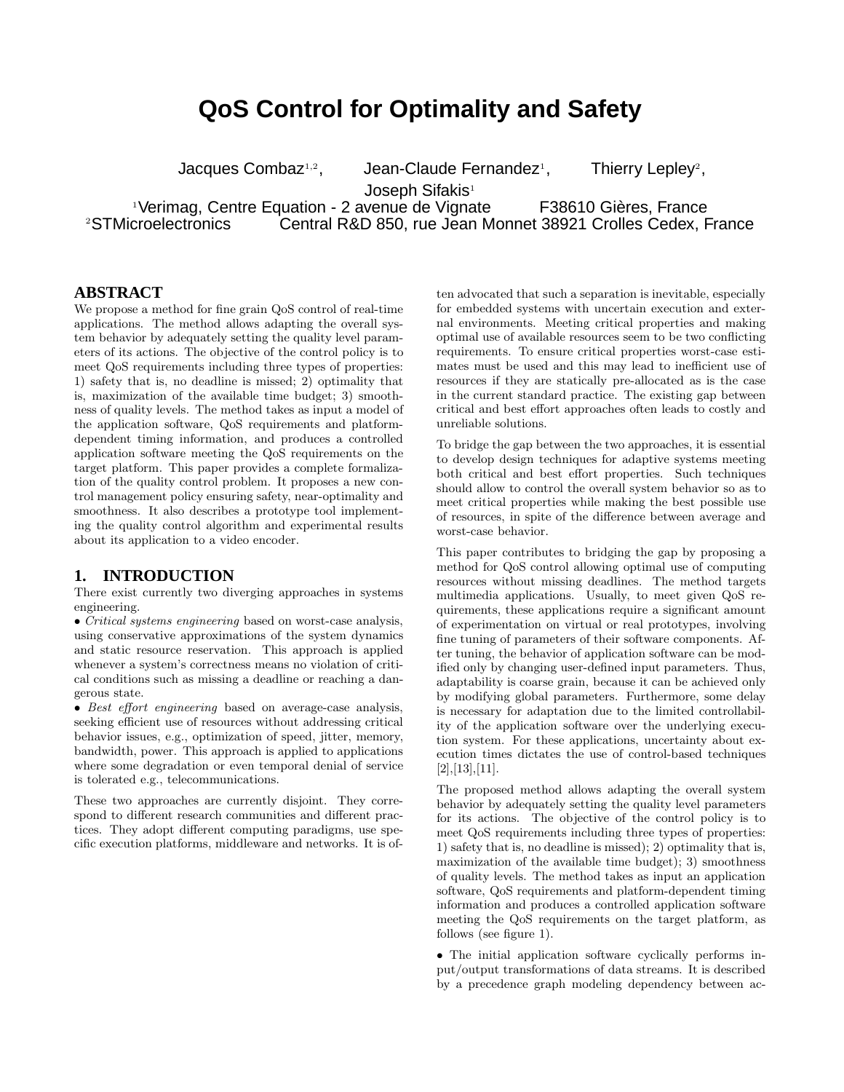# **QoS Control for Optimality and Safety**

Jacques Combaz<sup>1,2</sup>,

Jean-Claude Fernandez<sup>1</sup>,

, Thierry Lepley 2 ,

Joseph Sifakis<sup>1</sup>

<sup>1</sup>Verimag, Centre Equation - 2 avenue de Vignate  $\qquad$  F38610 Gières, France

<sup>2</sup>STMicroelectronics Central R&D 850, rue Jean Monnet 38921 Crolles Cedex, France

# **ABSTRACT**

We propose a method for fine grain QoS control of real-time applications. The method allows adapting the overall system behavior by adequately setting the quality level parameters of its actions. The objective of the control policy is to meet QoS requirements including three types of properties: 1) safety that is, no deadline is missed; 2) optimality that is, maximization of the available time budget; 3) smoothness of quality levels. The method takes as input a model of the application software, QoS requirements and platformdependent timing information, and produces a controlled application software meeting the QoS requirements on the target platform. This paper provides a complete formalization of the quality control problem. It proposes a new control management policy ensuring safety, near-optimality and smoothness. It also describes a prototype tool implementing the quality control algorithm and experimental results about its application to a video encoder.

# **1. INTRODUCTION**

There exist currently two diverging approaches in systems engineering.

• Critical systems engineering based on worst-case analysis, using conservative approximations of the system dynamics and static resource reservation. This approach is applied whenever a system's correctness means no violation of critical conditions such as missing a deadline or reaching a dangerous state.

• Best effort engineering based on average-case analysis, seeking efficient use of resources without addressing critical behavior issues, e.g., optimization of speed, jitter, memory, bandwidth, power. This approach is applied to applications where some degradation or even temporal denial of service is tolerated e.g., telecommunications.

These two approaches are currently disjoint. They correspond to different research communities and different practices. They adopt different computing paradigms, use specific execution platforms, middleware and networks. It is often advocated that such a separation is inevitable, especially for embedded systems with uncertain execution and external environments. Meeting critical properties and making optimal use of available resources seem to be two conflicting requirements. To ensure critical properties worst-case estimates must be used and this may lead to inefficient use of resources if they are statically pre-allocated as is the case in the current standard practice. The existing gap between critical and best effort approaches often leads to costly and unreliable solutions.

To bridge the gap between the two approaches, it is essential to develop design techniques for adaptive systems meeting both critical and best effort properties. Such techniques should allow to control the overall system behavior so as to meet critical properties while making the best possible use of resources, in spite of the difference between average and worst-case behavior.

This paper contributes to bridging the gap by proposing a method for QoS control allowing optimal use of computing resources without missing deadlines. The method targets multimedia applications. Usually, to meet given QoS requirements, these applications require a significant amount of experimentation on virtual or real prototypes, involving fine tuning of parameters of their software components. After tuning, the behavior of application software can be modified only by changing user-defined input parameters. Thus, adaptability is coarse grain, because it can be achieved only by modifying global parameters. Furthermore, some delay is necessary for adaptation due to the limited controllability of the application software over the underlying execution system. For these applications, uncertainty about execution times dictates the use of control-based techniques [2],[13],[11].

The proposed method allows adapting the overall system behavior by adequately setting the quality level parameters for its actions. The objective of the control policy is to meet QoS requirements including three types of properties: 1) safety that is, no deadline is missed); 2) optimality that is, maximization of the available time budget); 3) smoothness of quality levels. The method takes as input an application software, QoS requirements and platform-dependent timing information and produces a controlled application software meeting the QoS requirements on the target platform, as follows (see figure 1).

• The initial application software cyclically performs input/output transformations of data streams. It is described by a precedence graph modeling dependency between ac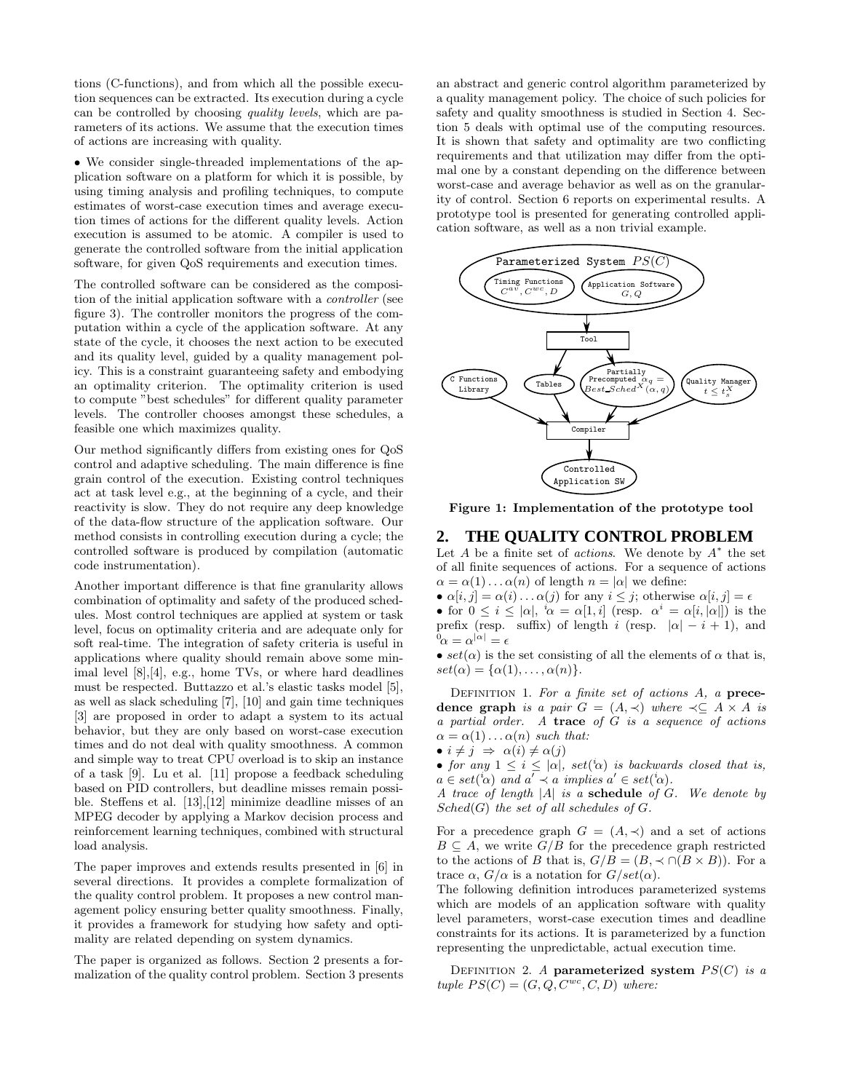tions (C-functions), and from which all the possible execution sequences can be extracted. Its execution during a cycle can be controlled by choosing quality levels, which are parameters of its actions. We assume that the execution times of actions are increasing with quality.

• We consider single-threaded implementations of the application software on a platform for which it is possible, by using timing analysis and profiling techniques, to compute estimates of worst-case execution times and average execution times of actions for the different quality levels. Action execution is assumed to be atomic. A compiler is used to generate the controlled software from the initial application software, for given QoS requirements and execution times.

The controlled software can be considered as the composition of the initial application software with a controller (see figure 3). The controller monitors the progress of the computation within a cycle of the application software. At any state of the cycle, it chooses the next action to be executed and its quality level, guided by a quality management policy. This is a constraint guaranteeing safety and embodying an optimality criterion. The optimality criterion is used to compute "best schedules" for different quality parameter levels. The controller chooses amongst these schedules, a feasible one which maximizes quality.

Our method significantly differs from existing ones for QoS control and adaptive scheduling. The main difference is fine grain control of the execution. Existing control techniques act at task level e.g., at the beginning of a cycle, and their reactivity is slow. They do not require any deep knowledge of the data-flow structure of the application software. Our method consists in controlling execution during a cycle; the controlled software is produced by compilation (automatic code instrumentation).

Another important difference is that fine granularity allows combination of optimality and safety of the produced schedules. Most control techniques are applied at system or task level, focus on optimality criteria and are adequate only for soft real-time. The integration of safety criteria is useful in applications where quality should remain above some minimal level [8],[4], e.g., home TVs, or where hard deadlines must be respected. Buttazzo et al.'s elastic tasks model [5], as well as slack scheduling [7], [10] and gain time techniques [3] are proposed in order to adapt a system to its actual behavior, but they are only based on worst-case execution times and do not deal with quality smoothness. A common and simple way to treat CPU overload is to skip an instance of a task [9]. Lu et al. [11] propose a feedback scheduling based on PID controllers, but deadline misses remain possible. Steffens et al. [13],[12] minimize deadline misses of an MPEG decoder by applying a Markov decision process and reinforcement learning techniques, combined with structural load analysis.

The paper improves and extends results presented in [6] in several directions. It provides a complete formalization of the quality control problem. It proposes a new control management policy ensuring better quality smoothness. Finally, it provides a framework for studying how safety and optimality are related depending on system dynamics.

The paper is organized as follows. Section 2 presents a formalization of the quality control problem. Section 3 presents an abstract and generic control algorithm parameterized by a quality management policy. The choice of such policies for safety and quality smoothness is studied in Section 4. Section 5 deals with optimal use of the computing resources. It is shown that safety and optimality are two conflicting requirements and that utilization may differ from the optimal one by a constant depending on the difference between worst-case and average behavior as well as on the granularity of control. Section 6 reports on experimental results. A prototype tool is presented for generating controlled application software, as well as a non trivial example.



Figure 1: Implementation of the prototype tool

#### **2. THE QUALITY CONTROL PROBLEM**

Let  $A$  be a finite set of *actions*. We denote by  $A^*$  the set of all finite sequences of actions. For a sequence of actions  $\alpha = \alpha(1) \dots \alpha(n)$  of length  $n = |\alpha|$  we define:

•  $\alpha[i, j] = \alpha(i) \dots \alpha(j)$  for any  $i \leq j$ ; otherwise  $\alpha[i, j] = \epsilon$ 

• for  $0 \leq i \leq |\alpha|$ ,  $\alpha = \alpha[1, i]$  (resp.  $\alpha^{i} = \alpha[i, |\alpha|]$ ) is the prefix (resp. suffix) of length i (resp.  $|\alpha| - i + 1$ ), and  ${}^0\!\alpha = \alpha^{|\alpha|} = \epsilon$ 

•  $set(\alpha)$  is the set consisting of all the elements of  $\alpha$  that is,  $set(\alpha) = {\alpha(1), \ldots, \alpha(n)}.$ 

DEFINITION 1. For a finite set of actions  $A$ , a precedence graph is a pair  $G = (A, \prec)$  where  $\prec \subseteq A \times A$  is a partial order. A trace of  $G$  is a sequence of actions  $\alpha = \alpha(1) \dots \alpha(n)$  such that:

•  $i \neq j \Rightarrow \alpha(i) \neq \alpha(j)$ 

• for any  $1 \leq i \leq |\alpha|$ , set $({}^i\alpha)$  is backwards closed that is,  $a \in set({}^i\alpha)$  and  $a' \prec a$  implies  $a' \in set({}^i\alpha)$ .

A trace of length  $|A|$  is a schedule of  $G$ . We denote by  $Sched(G)$  the set of all schedules of  $G$ .

For a precedence graph  $G = (A, \prec)$  and a set of actions  $B \subseteq A$ , we write  $G/B$  for the precedence graph restricted to the actions of B that is,  $G/B = (B, \prec \cap (B \times B))$ . For a trace  $\alpha$ ,  $G/\alpha$  is a notation for  $G/set(\alpha)$ .

The following definition introduces parameterized systems which are models of an application software with quality level parameters, worst-case execution times and deadline constraints for its actions. It is parameterized by a function representing the unpredictable, actual execution time.

DEFINITION 2. A parameterized system  $PS(C)$  is a tuple  $PS(C) = (G, Q, C^{wc}, C, D)$  where: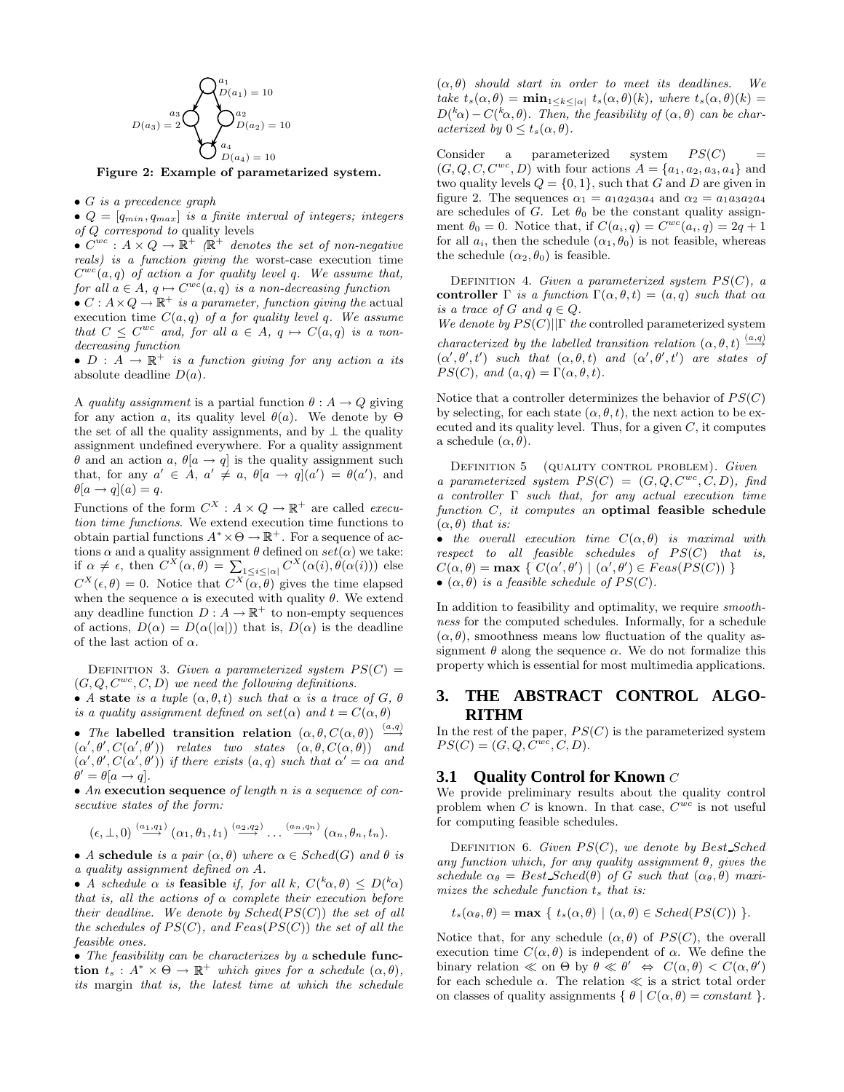$$
D(a_3) = 2 \n\begin{cases} \n\begin{cases} a_1 \\ \nD(a_1) = 10 \n\end{cases} \\ \nD(a_2) = 10 \\ \n\begin{cases} \n\begin{cases} a_2 \\ \nD(a_2) = 10 \n\end{cases} \\ \nD(a_4) = 10 \n\end{cases} \n\end{cases}
$$

Figure 2: Example of parametarized system.

 $\bullet$  G is a precedence graph

•  $Q = [q_{min}, q_{max}]$  is a finite interval of integers; integers of Q correspond to quality levels

•  $C^{wc}$  :  $A \times Q \rightarrow \mathbb{R}^+$  ( $\mathbb{R}^+$  denotes the set of non-negative reals) is a function giving the worst-case execution time  $C^{wc}(a,q)$  of action a for quality level q. We assume that, for all  $a \in A$ ,  $q \mapsto C^{wc}(a,q)$  is a non-decreasing function •  $C: A \times Q \to \mathbb{R}^+$  is a parameter, function giving the actual execution time  $C(a,q)$  of a for quality level q. We assume that  $C \leq C^{wc}$  and, for all  $a \in A$ ,  $q \mapsto C(a,q)$  is a nondecreasing function

•  $D : A \rightarrow \mathbb{R}^+$  is a function giving for any action a its absolute deadline  $D(a)$ .

A quality assignment is a partial function  $\theta : A \to Q$  giving for any action a, its quality level  $\theta(a)$ . We denote by  $\Theta$ the set of all the quality assignments, and by  $\perp$  the quality assignment undefined everywhere. For a quality assignment  $\theta$  and an action  $a, \theta[a \rightarrow q]$  is the quality assignment such that, for any  $a' \in A$ ,  $a' \neq a$ ,  $\theta[a \to q](a') = \theta(a')$ , and  $\theta[a \rightarrow q](a) = q.$ 

Functions of the form  $C^X : A \times Q \to \mathbb{R}^+$  are called *execu*tion time functions. We extend execution time functions to obtain partial functions  $A^* \times \Theta \to \mathbb{R}^+$ . For a sequence of actions  $\alpha$  and a quality assignment  $\theta$  defined on  $set(\alpha)$  we take: if  $\alpha \neq \epsilon$ , then  $C^X(\alpha, \theta) = \sum_{1 \leq i \leq |\alpha|} C^X(\alpha(i), \theta(\alpha(i)))$  else  $C^{X}(\epsilon, \theta) = 0$ . Notice that  $C^{X}(\alpha, \theta)$  gives the time elapsed when the sequence  $\alpha$  is executed with quality  $\theta$ . We extend any deadline function  $D : A \to \mathbb{R}^+$  to non-empty sequences of actions,  $D(\alpha) = D(\alpha(|\alpha|))$  that is,  $D(\alpha)$  is the deadline of the last action of  $\alpha$ .

DEFINITION 3. Given a parameterized system  $PS(C) =$  $(G, Q, C^{wc}, C, D)$  we need the following definitions.

• A state is a tuple  $(\alpha, \theta, t)$  such that  $\alpha$  is a trace of G,  $\theta$ is a quality assignment defined on set( $\alpha$ ) and  $t = C(\alpha, \theta)$ 

• The labelled transition relation  $(\alpha, \theta, C(\alpha, \theta)) \stackrel{(a,q)}{\longrightarrow}$  $(\alpha', \theta', C(\alpha', \theta'))$  relates two states  $(\alpha, \theta, C(\alpha, \theta))$  and  $(\alpha', \theta', C(\alpha', \theta'))$  if there exists  $(a, q)$  such that  $\alpha' = \alpha a$  and  $\theta' = \theta[a \rightarrow q].$ 

• An execution sequence of length  $n$  is a sequence of consecutive states of the form:

$$
(\epsilon, \perp, 0) \stackrel{(a_1, q_1)}{\longrightarrow} (\alpha_1, \theta_1, t_1) \stackrel{(a_2, q_2)}{\longrightarrow} \dots \stackrel{(a_n, q_n)}{\longrightarrow} (\alpha_n, \theta_n, t_n).
$$

• A schedule is a pair  $(\alpha, \theta)$  where  $\alpha \in Sched(G)$  and  $\theta$  is a quality assignment defined on A.

• A schedule  $\alpha$  is feasible if, for all k,  $C({}^k\alpha,\theta) \le D({}^k\alpha)$ that is, all the actions of  $\alpha$  complete their execution before their deadline. We denote by  $Sched(PS(C))$  the set of all the schedules of  $PS(C)$ , and  $Feas(PS(C))$  the set of all the feasible ones.

• The feasibility can be characterizes by a schedule func**tion**  $t_s : A^* \times \Theta \to \mathbb{R}^+$  which gives for a schedule  $(\alpha, \theta)$ , its margin that is, the latest time at which the schedule  $(\alpha, \theta)$  should start in order to meet its deadlines. We take  $t_s(\alpha, \theta) = \min_{1 \leq k \leq |\alpha|} t_s(\alpha, \theta)(k)$ , where  $t_s(\alpha, \theta)(k) =$  $D({}^k\alpha) - C({}^k\alpha, \theta)$ . Then, the feasibility of  $(\alpha, \theta)$  can be characterized by  $0 \leq t_s(\alpha, \theta)$ .

Consider a parameterized system  $PS(C)$  =  $(G, Q, C, C^{wc}, D)$  with four actions  $A = \{a_1, a_2, a_3, a_4\}$  and two quality levels  $Q = \{0, 1\}$ , such that G and D are given in figure 2. The sequences  $\alpha_1 = a_1 a_2 a_3 a_4$  and  $\alpha_2 = a_1 a_3 a_2 a_4$ are schedules of G. Let  $\theta_0$  be the constant quality assignment  $\theta_0 = 0$ . Notice that, if  $C(a_i, q) = C^{wc}(a_i, q) = 2q + 1$ for all  $a_i$ , then the schedule  $(\alpha_1, \theta_0)$  is not feasible, whereas the schedule  $(\alpha_2, \theta_0)$  is feasible.

DEFINITION 4. Given a parameterized system  $PS(C)$ , a controller  $\Gamma$  is a function  $\Gamma(\alpha, \theta, t) = (a, q)$  such that  $\alpha a$ is a trace of G and  $q \in Q$ .

We denote by  $PS(C)||\Gamma$  the controlled parameterized system characterized by the labelled transition relation  $(\alpha, \theta, t) \stackrel{(a,q)}{\longrightarrow}$  $(\alpha', \theta', t')$  such that  $(\alpha, \theta, t)$  and  $(\alpha', \theta', t')$  are states of  $PS(C)$ , and  $(a, q) = \Gamma(\alpha, \theta, t)$ .

Notice that a controller determinizes the behavior of  $PS(C)$ by selecting, for each state  $(\alpha, \theta, t)$ , the next action to be executed and its quality level. Thus, for a given  $C$ , it computes a schedule  $(\alpha, \theta)$ .

DEFINITION 5 (QUALITY CONTROL PROBLEM). Given a parameterized system  $PS(C) = (G, Q, C^{wc}, C, D)$ , find a controller Γ such that, for any actual execution time function C, it computes an optimal feasible schedule  $(\alpha, \theta)$  that is:

• the overall execution time  $C(\alpha, \theta)$  is maximal with respect to all feasible schedules of  $PS(C)$  that is,  $C(\alpha, \theta) = \max \{ C(\alpha', \theta') \mid (\alpha', \theta') \in F\text{eas}(PS(C)) \}$  $\bullet$  ( $\alpha$ ,  $\theta$ ) is a feasible schedule of PS(C).

In addition to feasibility and optimality, we require smoothness for the computed schedules. Informally, for a schedule  $(\alpha, \theta)$ , smoothness means low fluctuation of the quality assignment  $\theta$  along the sequence  $\alpha$ . We do not formalize this property which is essential for most multimedia applications.

# **3. THE ABSTRACT CONTROL ALGO-RITHM**

In the rest of the paper,  $PS(C)$  is the parameterized system  $PS(C) = (G, Q, C^{wc}, C, D).$ 

## **3.1 Quality Control for Known** C

We provide preliminary results about the quality control problem when  $C$  is known. In that case,  $C^{wc}$  is not useful for computing feasible schedules.

DEFINITION 6. Given  $PS(C)$ , we denote by Best Sched any function which, for any quality assignment  $\theta$ , gives the schedule  $\alpha_{\theta} = Best\_Sched(\theta)$  of G such that  $(\alpha_{\theta}, \theta)$  maximizes the schedule function  $t_s$  that is:

 $t_s(\alpha_{\theta}, \theta) = \max \{ t_s(\alpha, \theta) | (\alpha, \theta) \in Sched(PS(C)) \}.$ 

Notice that, for any schedule  $(\alpha, \theta)$  of  $PS(C)$ , the overall execution time  $C(\alpha, \theta)$  is independent of  $\alpha$ . We define the binary relation  $\ll$  on  $\Theta$  by  $\theta \ll \theta' \iff C(\alpha, \theta) < C(\alpha, \theta')$ for each schedule  $\alpha$ . The relation  $\ll$  is a strict total order on classes of quality assignments {  $\theta \mid C(\alpha, \theta) = constant$  }.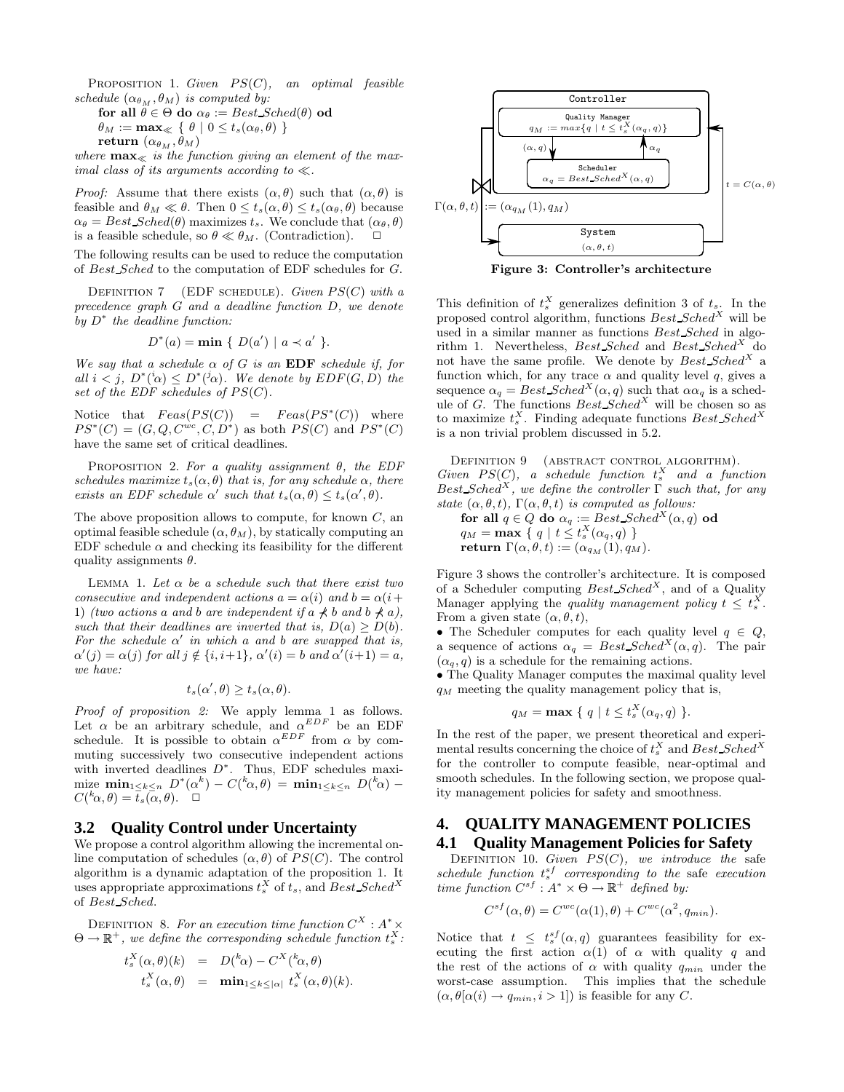PROPOSITION 1. Given  $PS(C)$ , an optimal feasible schedule  $(\alpha_{\theta_M}, \theta_M)$  is computed by:

for all 
$$
\theta \in \Theta
$$
 do  $\alpha_{\theta} := Best\_Sched(\theta)$  od  
\n $\theta_M := \max \ll \{ \theta \mid 0 \le t_s(\alpha_{\theta}, \theta) \}$   
\nreturn  $(\alpha_{\theta_M}, \theta_M)$ 

where  $\max_{\ll}$  is the function giving an element of the maximal class of its arguments according to  $\ll$ .

*Proof:* Assume that there exists  $(\alpha, \theta)$  such that  $(\alpha, \theta)$  is feasible and  $\theta_M \ll \theta$ . Then  $0 \leq t_s(\alpha, \theta) \leq t_s(\alpha_{\theta}, \theta)$  because  $\alpha_{\theta} = Best\,Sched(\theta)$  maximizes  $t_s$ . We conclude that  $(\alpha_{\theta}, \theta)$ is a feasible schedule, so  $\theta \ll \theta_M$ . (Contradiction).

The following results can be used to reduce the computation of Best Sched to the computation of EDF schedules for G.

DEFINITION 7 (EDF SCHEDULE). Given  $PS(C)$  with a precedence graph G and a deadline function D, we denote by  $D^*$  the deadline function:

$$
D^*(a) = \min \{ D(a') \mid a \prec a' \}.
$$

We say that a schedule  $\alpha$  of G is an EDF schedule if, for all  $i < j$ ,  $D^*(i\alpha) \leq D^*(i\alpha)$ . We denote by  $EDF(G, D)$  the set of the EDF schedules of  $PS(C)$ .

Notice that  $Feas(PS(C)) = Feas(PS^*(C))$  where  $PS^*(C) = (G, Q, C^{wc}, C, D^*)$  as both  $PS(C)$  and  $PS^*(C)$ have the same set of critical deadlines.

PROPOSITION 2. For a quality assignment  $\theta$ , the EDF schedules maximize  $t_s(\alpha, \theta)$  that is, for any schedule  $\alpha$ , there exists an EDF schedule  $\alpha'$  such that  $t_s(\alpha, \theta) \leq t_s(\alpha', \theta)$ .

The above proposition allows to compute, for known  $C$ , an optimal feasible schedule  $(\alpha, \theta_M)$ , by statically computing an EDF schedule  $\alpha$  and checking its feasibility for the different quality assignments  $\theta$ .

LEMMA 1. Let  $\alpha$  be a schedule such that there exist two consecutive and independent actions  $a = \alpha(i)$  and  $b = \alpha(i +$ 1) (two actions a and b are independent if  $a \nless b$  and  $b \nless a$ ), such that their deadlines are inverted that is,  $D(a) > D(b)$ . For the schedule  $\alpha'$  in which a and b are swapped that is,  $\alpha'(j) = \alpha(j)$  for all  $j \notin \{i, i+1\}$ ,  $\alpha'(i) = b$  and  $\alpha'(i+1) = a$ , we have:

$$
t_s(\alpha', \theta) \ge t_s(\alpha, \theta).
$$

Proof of proposition 2: We apply lemma 1 as follows. Let  $\alpha$  be an arbitrary schedule, and  $\alpha^{EDF}$  be an EDF schedule. It is possible to obtain  $\alpha^{EDF}$  from  $\alpha$  by commuting successively two consecutive independent actions with inverted deadlines  $D^*$ . Thus, EDF schedules maximize  $\min_{1 \leq k \leq n} D^*(\alpha^k) - C({}^k \alpha, \theta) = \min_{1 \leq k \leq n} D({}^k \alpha)$  –  $C({}^k\alpha,\theta)=\overline{t}_s(\alpha,\theta).$   $\Box$ 

## **3.2 Quality Control under Uncertainty**

We propose a control algorithm allowing the incremental online computation of schedules  $(\alpha, \theta)$  of  $PS(C)$ . The control algorithm is a dynamic adaptation of the proposition 1. It uses appropriate approximations  $t_s^X$  of  $t_s$ , and  $Best\_Sched^X$ of Best Sched.

DEFINITION 8. For an execution time function  $C^X : A^* \times$  $\Theta \to \mathbb{R}^+$ , we define the corresponding schedule function  $t_s^X$ :

$$
t_s^X(\alpha, \theta)(k) = D({}^k \alpha) - C^X({}^k \alpha, \theta)
$$
  

$$
t_s^X(\alpha, \theta) = \min_{1 \le k \le |\alpha|} t_s^X(\alpha, \theta)(k).
$$



Figure 3: Controller's architecture

This definition of  $t_s^X$  generalizes definition 3 of  $t_s$ . In the proposed control algorithm, functions  $Best\_Sched^X$  will be used in a similar manner as functions Best Sched in algorithm 1. Nevertheless, Best Sched and Best Sched<sup>X</sup> do not have the same profile. We denote by  $Best\_Sched^X$  a function which, for any trace  $\alpha$  and quality level q, gives a sequence  $\alpha_q = Best\_Sched^X(\alpha, q)$  such that  $\alpha \alpha_q$  is a schedule of G. The functions  $Best\_Sched^X$  will be chosen so as to maximize  $t_s^X$ . Finding adequate functions  $Best\_Sched^X$ is a non trivial problem discussed in 5.2.

DEFINITION 9 (ABSTRACT CONTROL ALGORITHM). Given  $PS(C)$ , a schedule function  $t_s^X$  and a function Best Sched<sup>X</sup>, we define the controller  $\Gamma$  such that, for any state  $(\alpha, \theta, t)$ ,  $\Gamma(\alpha, \theta, t)$  is computed as follows:

for all  $q \in Q$  do  $\alpha_q := Best\_Sched^X(\alpha, q)$  od  $q_M = \max \{ q \mid t \leq t_s^X(\alpha_q, q) \}$ return Γ( $\alpha, \theta, t$ ) := ( $\alpha_{q_M}(1), q_M$ ).

Figure 3 shows the controller's architecture. It is composed of a Scheduler computing  $Best\_Sched^X$ , and of a Quality Manager applying the *quality management policy*  $t \leq t_s^X$ . From a given state  $(\alpha, \theta, t)$ ,

• The Scheduler computes for each quality level  $q \in Q$ , a sequence of actions  $\alpha_q = Best\_Sched^X(\alpha, q)$ . The pair  $(\alpha_q, q)$  is a schedule for the remaining actions.

• The Quality Manager computes the maximal quality level  $q_M$  meeting the quality management policy that is,

$$
q_M = \max \{ q \mid t \leq t_s^X(\alpha_q, q) \}.
$$

In the rest of the paper, we present theoretical and experimental results concerning the choice of  $t_s^X$  and  $Best\_Sched^X$ for the controller to compute feasible, near-optimal and smooth schedules. In the following section, we propose quality management policies for safety and smoothness.

# **4. QUALITY MANAGEMENT POLICIES 4.1 Quality Management Policies for Safety**

DEFINITION 10. Given  $PS(C)$ , we introduce the safe schedule function  $t_s^{sf}$  corresponding to the safe execution time function  $C^{sf}: A^* \times \Theta \to \mathbb{R}^+$  defined by:

$$
C^{sf}(\alpha, \theta) = C^{wc}(\alpha(1), \theta) + C^{wc}(\alpha^2, q_{min}).
$$

Notice that  $t \leq t_s^{sf}(\alpha, q)$  guarantees feasibility for executing the first action  $\alpha(1)$  of  $\alpha$  with quality q and the rest of the actions of  $\alpha$  with quality  $q_{min}$  under the worst-case assumption. This implies that the schedule  $(\alpha, \theta[\alpha(i) \rightarrow q_{min}, i > 1])$  is feasible for any C.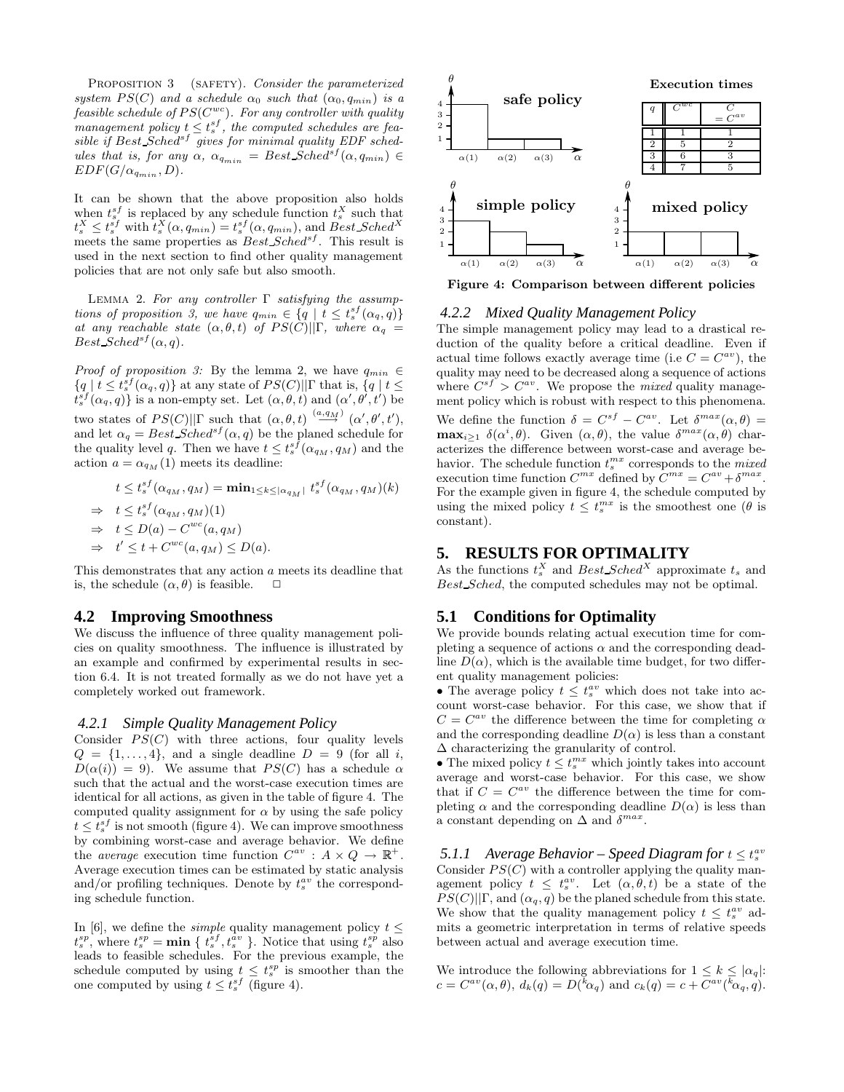PROPOSITION 3 (SAFETY). Consider the parameterized system  $PS(C)$  and a schedule  $\alpha_0$  such that  $(\alpha_0, q_{min})$  is a feasible schedule of  $PS(C^{wc})$ . For any controller with quality management policy  $t \leq t_s^{sf}$ , the computed schedules are feasible if  $Best\_Sched^{sf}$  gives for minimal quality EDF schedules that is, for any  $\alpha$ ,  $\alpha_{q_{min}} = Best\_Sched^{s}(\alpha, q_{min}) \in$  $EDF(G/\alpha_{q_{min}}, D).$ 

It can be shown that the above proposition also holds when  $t_s^{sf}$  is replaced by any schedule function  $t_s^X$  such that  $t_s^X \leq t_s^{sf}$  with  $t_s^X(\alpha, q_{min}) = t_s^{sf}(\alpha, q_{min})$ , and  $Best\_Sched^X$ meets the same properties as  $Best\_Sched^{sf}$ . This result is used in the next section to find other quality management policies that are not only safe but also smooth.

LEMMA 2. For any controller  $\Gamma$  satisfying the assumptions of proposition 3, we have  $q_{min} \in \{q \mid t \leq t_s^{sf}(\alpha_q, q)\}\$ at any reachable state  $(\alpha, \theta, t)$  of  $PS(C)||\Gamma$ , where  $\alpha_q =$  $Best\_Sched^{sf}(\alpha, q).$ 

*Proof of proposition 3:* By the lemma 2, we have  $q_{min} \in$  ${q | t \leq t_s^{sf}(\alpha_q, q)}$  at any state of  $PS(C)$ ||T that is,  ${q | t \leq \}$  $t_s^{sf}(\alpha_q, q)$  is a non-empty set. Let  $(\alpha, \theta, t)$  and  $(\alpha', \theta', t')$  be two states of  $PS(C)||\Gamma$  such that  $(\alpha, \theta, t) \stackrel{(a,q_M)}{\longrightarrow} (\alpha', \theta', t'),$ and let  $\alpha_q = Best\_Sched^{sf}(\alpha, q)$  be the planed schedule for the quality level q. Then we have  $t \leq t_s^{sf}(\alpha_{q_M}, q_M)$  and the action  $a = \alpha_{q_M}(1)$  meets its deadline:

$$
t \le t_s^{sf}(\alpha_{q_M}, q_M) = \min_{1 \le k \le |\alpha_{q_M}|} t_s^{sf}(\alpha_{q_M}, q_M)(k)
$$
  
\n
$$
\Rightarrow t \le t_s^{sf}(\alpha_{q_M}, q_M)(1)
$$
  
\n
$$
\Rightarrow t \le D(a) - C^{wc}(a, q_M)
$$
  
\n
$$
\Rightarrow t' \le t + C^{wc}(a, q_M) \le D(a).
$$

This demonstrates that any action a meets its deadline that is, the schedule  $(\alpha, \theta)$  is feasible.  $\Box$ 

#### **4.2 Improving Smoothness**

We discuss the influence of three quality management policies on quality smoothness. The influence is illustrated by an example and confirmed by experimental results in section 6.4. It is not treated formally as we do not have yet a completely worked out framework.

#### *4.2.1 Simple Quality Management Policy*

Consider  $PS(C)$  with three actions, four quality levels  $Q = \{1, \ldots, 4\}$ , and a single deadline  $D = 9$  (for all i,  $D(\alpha(i)) = 9$ . We assume that  $PS(C)$  has a schedule  $\alpha$ such that the actual and the worst-case execution times are identical for all actions, as given in the table of figure 4. The computed quality assignment for  $\alpha$  by using the safe policy  $t \leq t_s^{sf}$  is not smooth (figure 4). We can improve smoothness by combining worst-case and average behavior. We define the *average* execution time function  $C^{av}$ :  $A \times Q \rightarrow \mathbb{R}^+$ . Average execution times can be estimated by static analysis and/or profiling techniques. Denote by  $t_s^{av}$  the corresponding schedule function.

In [6], we define the *simple* quality management policy  $t \leq$  $t_s^{sp}$ , where  $t_s^{sp} = \min \{ t_s^{sf}, t_s^{av} \}$ . Notice that using  $t_s^{sp}$  also leads to feasible schedules. For the previous example, the schedule computed by using  $t \leq t_s^{sp}$  is smoother than the one computed by using  $t \leq t_s^{sf}$  (figure 4).



Figure 4: Comparison between different policies

#### *4.2.2 Mixed Quality Management Policy*

The simple management policy may lead to a drastical reduction of the quality before a critical deadline. Even if actual time follows exactly average time (i.e  $C = C^{av}$ ), the quality may need to be decreased along a sequence of actions where  $C^{sf} > C^{av}$ . We propose the *mixed* quality management policy which is robust with respect to this phenomena. We define the function  $\delta = C^{sf} - C^{av}$ . Let  $\delta^{max}(\alpha, \theta) =$ **max**<sub>i≥1</sub>  $\delta(\alpha^i, \theta)$ . Given  $(\alpha, \theta)$ , the value  $\delta^{max}(\alpha, \theta)$  characterizes the difference between worst-case and average behavior. The schedule function  $t_s^{mx}$  corresponds to the *mixed* execution time function  $C^{mx}$  defined by  $C^{mx} = C^{av} + \delta^{max}$ . For the example given in figure 4, the schedule computed by using the mixed policy  $t \leq t_s^{mx}$  is the smoothest one ( $\theta$  is constant).

# **5. RESULTS FOR OPTIMALITY**

As the functions  $t_s^X$  and  $Best\_Sched^X$  approximate  $t_s$  and Best Sched, the computed schedules may not be optimal.

## **5.1 Conditions for Optimality**

We provide bounds relating actual execution time for completing a sequence of actions  $\alpha$  and the corresponding deadline  $D(\alpha)$ , which is the available time budget, for two different quality management policies:

• The average policy  $t \leq t_s^{av}$  which does not take into account worst-case behavior. For this case, we show that if  $C = C^{av}$  the difference between the time for completing  $\alpha$ and the corresponding deadline  $D(\alpha)$  is less than a constant ∆ characterizing the granularity of control.

• The mixed policy  $t \leq t_s^{mx}$  which jointly takes into account average and worst-case behavior. For this case, we show that if  $C = C^{av}$  the difference between the time for completing  $\alpha$  and the corresponding deadline  $D(\alpha)$  is less than a constant depending on  $\Delta$  and  $\delta^{max}$ .

5.1.1 Average Behavior – Speed Diagram for  $t \leq t_s^{av}$ Consider  $PS(C)$  with a controller applying the quality management policy  $t \leq t_s^{av}$ . Let  $(\alpha, \theta, t)$  be a state of the  $PS(C)||\Gamma$ , and  $(\alpha_q, q)$  be the planed schedule from this state. We show that the quality management policy  $t \leq t_s^{av}$  admits a geometric interpretation in terms of relative speeds between actual and average execution time.

We introduce the following abbreviations for  $1 \leq k \leq |\alpha_q|$ :  $c = C^{av}(\alpha, \theta), d_k(q) = D({}^k\!\alpha_q)$  and  $c_k(q) = c + C^{av}({}^k\!\alpha_q, q)$ .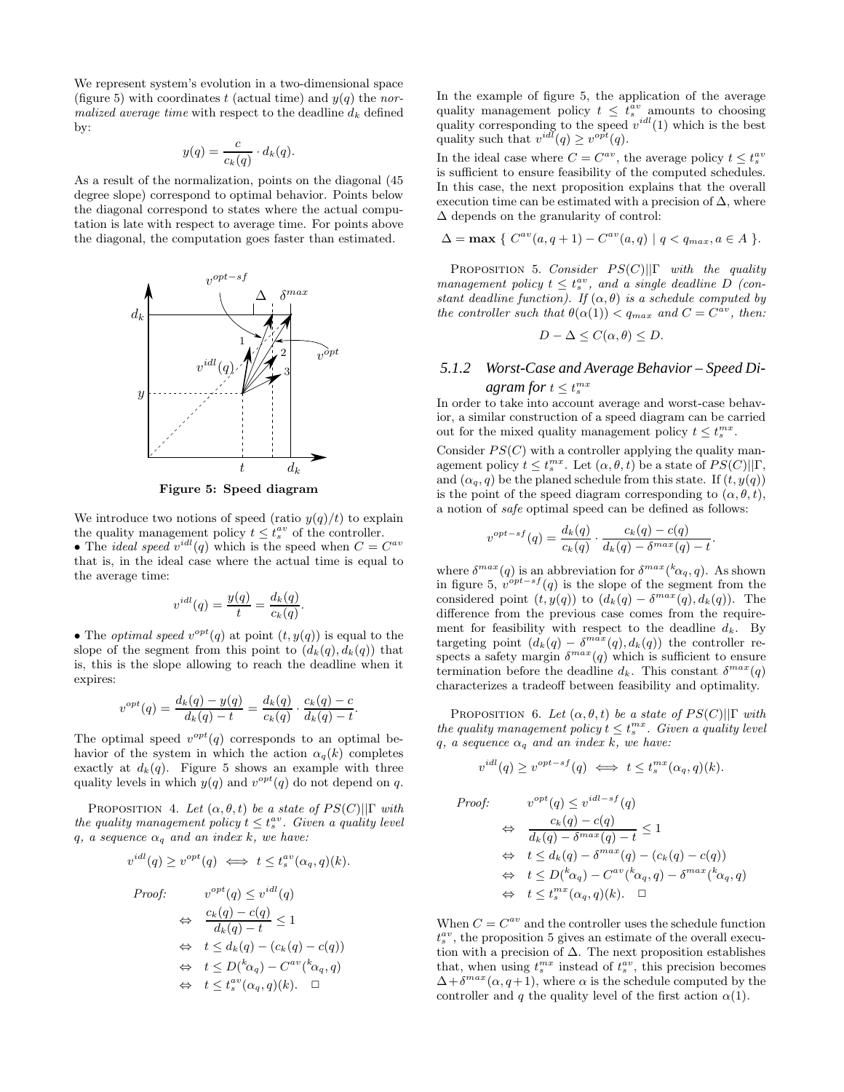We represent system's evolution in a two-dimensional space (figure 5) with coordinates t (actual time) and  $y(q)$  the normalized average time with respect to the deadline  $d_k$  defined by:

$$
y(q) = \frac{c}{c_k(q)} \cdot d_k(q).
$$

As a result of the normalization, points on the diagonal (45 degree slope) correspond to optimal behavior. Points below the diagonal correspond to states where the actual computation is late with respect to average time. For points above the diagonal, the computation goes faster than estimated.



Figure 5: Speed diagram

We introduce two notions of speed (ratio  $y(q)/t$ ) to explain the quality management policy  $t \leq t_s^{av}$  of the controller. • The *ideal speed*  $v^{idl}(q)$  which is the speed when  $C = C^{av}$ that is, in the ideal case where the actual time is equal to the average time:

$$
v^{idl}(q) = \frac{y(q)}{t} = \frac{d_k(q)}{c_k(q)}.
$$

• The *optimal speed*  $v^{opt}(q)$  at point  $(t, y(q))$  is equal to the slope of the segment from this point to  $(d_k(q), d_k(q))$  that is, this is the slope allowing to reach the deadline when it expires:

$$
v^{opt}(q) = \frac{d_k(q) - y(q)}{d_k(q) - t} = \frac{d_k(q)}{c_k(q)} \cdot \frac{c_k(q) - c}{d_k(q) - t}.
$$

The optimal speed  $v^{opt}(q)$  corresponds to an optimal behavior of the system in which the action  $\alpha_q(k)$  completes exactly at  $d_k(q)$ . Figure 5 shows an example with three quality levels in which  $y(q)$  and  $v^{opt}(q)$  do not depend on q.

PROPOSITION 4. Let  $(\alpha, \theta, t)$  be a state of  $PS(C)||\Gamma$  with the quality management policy  $t \leq t_s^{av}$ . Given a quality level q, a sequence  $\alpha_q$  and an index k, we have:

$$
v^{idl}(q) \ge v^{opt}(q) \iff t \le t_s^{av}(\alpha_q, q)(k).
$$
  
\nProof:  
\n
$$
v^{opt}(q) \le v^{idl}(q)
$$
  
\n
$$
\iff \frac{c_k(q) - c(q)}{d_k(q) - t} \le 1
$$
  
\n
$$
\iff t \le d_k(q) - (c_k(q) - c(q))
$$
  
\n
$$
\iff t \le D(\alpha_q) - C^{av}(\alpha_q, q)
$$
  
\n
$$
\iff t \le t_s^{av}(\alpha_q, q)(k). \quad \Box
$$

In the example of figure 5, the application of the average quality management policy  $t \leq t_s^{av}$  amounts to choosing quality corresponding to the speed  $v^{idl}(1)$  which is the best quality such that  $v^{idl}(q) \geq v^{opt}(q)$ .

In the ideal case where  $C = C^{av}$ , the average policy  $t \leq t_s^{av}$ is sufficient to ensure feasibility of the computed schedules. In this case, the next proposition explains that the overall execution time can be estimated with a precision of  $\Delta$ , where ∆ depends on the granularity of control:

$$
\Delta = \max \{ C^{av}(a, q + 1) - C^{av}(a, q) | q < q_{max}, a \in A \}.
$$

PROPOSITION 5. Consider  $PS(C)||\Gamma$  with the quality management policy  $t \leq t_s^{av}$ , and a single deadline D (constant deadline function). If  $(\alpha, \theta)$  is a schedule computed by the controller such that  $\theta(\alpha(1)) < q_{max}$  and  $C = C^{av}$ , then:

$$
D - \Delta \le C(\alpha, \theta) \le D.
$$

# *5.1.2 Worst-Case and Average Behavior – Speed Di* $agram for t \leq t_s^{mx}$

In order to take into account average and worst-case behavior, a similar construction of a speed diagram can be carried out for the mixed quality management policy  $t \leq t_s^{mx}$ .

Consider  $PS(C)$  with a controller applying the quality management policy  $t \leq t_s^{mx}$ . Let  $(\alpha, \theta, t)$  be a state of  $PS(C)||\Gamma$ , and  $(\alpha_q, q)$  be the planed schedule from this state. If  $(t, y(q))$ is the point of the speed diagram corresponding to  $(\alpha, \theta, t)$ , a notion of safe optimal speed can be defined as follows:

$$
v^{opt-sf}(q) = \frac{d_k(q)}{c_k(q)} \cdot \frac{c_k(q) - c(q)}{d_k(q) - \delta^{max}(q) - t}.
$$

where  $\delta^{max}(q)$  is an abbreviation for  $\delta^{max}(k\alpha_q, q)$ . As shown in figure 5,  $v^{opt-sf}(q)$  is the slope of the segment from the considered point  $(t, y(q))$  to  $(d_k(q) - \delta^{max}(q), d_k(q))$ . The difference from the previous case comes from the requirement for feasibility with respect to the deadline  $d_k$ . By targeting point  $(d_k(q) - \delta^{max}(q), d_k(q))$  the controller respects a safety margin  $\delta^{max}(q)$  which is sufficient to ensure termination before the deadline  $d_k$ . This constant  $\delta^{max}(q)$ characterizes a tradeoff between feasibility and optimality.

PROPOSITION 6. Let  $(\alpha, \theta, t)$  be a state of  $PS(C)||\Gamma$  with the quality management policy  $t \leq t_s^{mx}$ . Given a quality level q, a sequence  $\alpha_q$  and an index k, we have:

$$
v^{idl}(q) \ge v^{opt-s} f(q) \iff t \le t_s^{mx}(\alpha_q, q)(k).
$$
  
*Proof:* 
$$
v^{opt}(\alpha) < v^{idl - sf}(\alpha)
$$

$$
\begin{aligned}\n\text{cof:} & v^{opt}(q) \le v^{idl - sf}(q) \\
&\Leftrightarrow \frac{c_k(q) - c(q)}{d_k(q) - \delta^{max}(q) - t} \le 1 \\
&\Leftrightarrow \quad t \le d_k(q) - \delta^{max}(q) - (c_k(q) - c(q)) \\
&\Leftrightarrow \quad t \le D(\kappa_q) - C^{av}(\kappa_q, q) - \delta^{max}(\kappa_q, q) \\
&\Leftrightarrow \quad t \le t_s^{mx}(\alpha_q, q)(k). \quad \Box\n\end{aligned}
$$

When  $C = C^{av}$  and the controller uses the schedule function  $t_s^{av}$ , the proposition 5 gives an estimate of the overall execution with a precision of  $\Delta$ . The next proposition establishes that, when using  $t_s^{mx}$  instead of  $t_s^{av}$ , this precision becomes  $\Delta + \delta^{max}(\alpha, q+1)$ , where  $\alpha$  is the schedule computed by the controller and q the quality level of the first action  $\alpha(1)$ .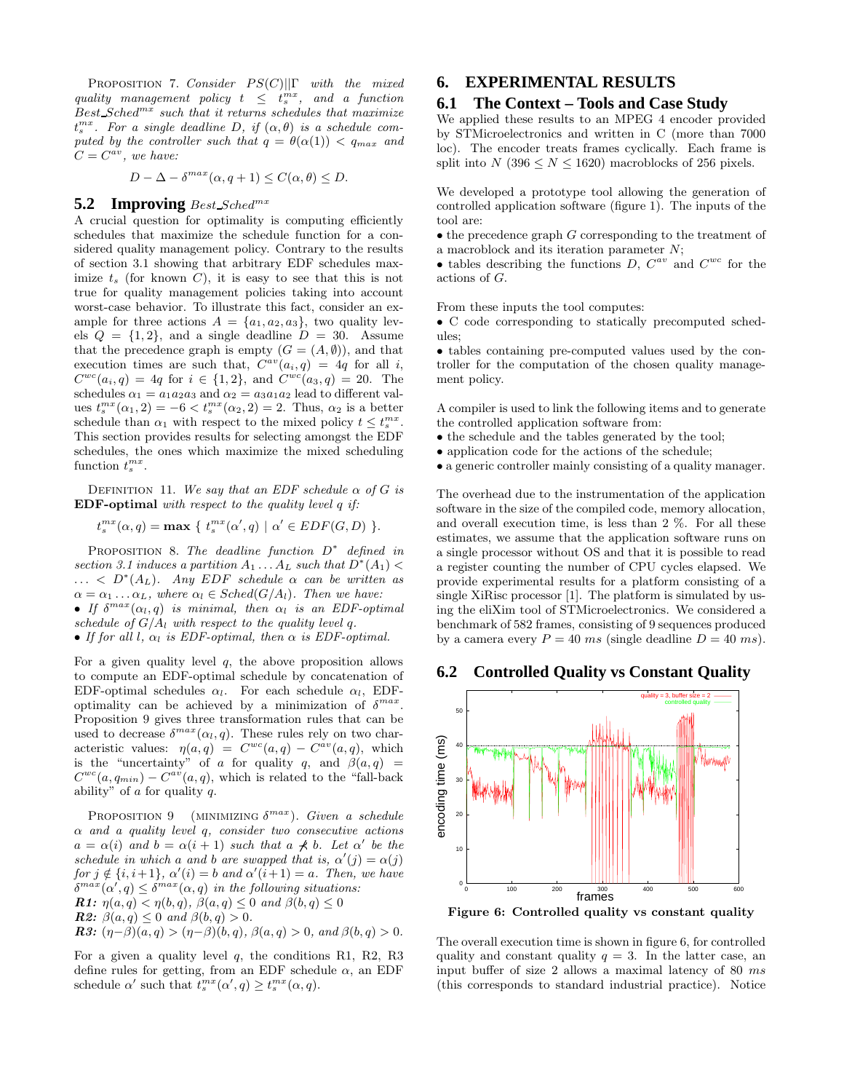PROPOSITION 7. Consider  $PS(C)||\Gamma$  with the mixed quality management policy  $t \leq t_s^{mx}$ , and a function  $Best\_Sched^{mx}$  such that it returns schedules that maximize  $t_s^{mx}$ . For a single deadline D, if  $(\alpha, \theta)$  is a schedule computed by the controller such that  $q = \theta(\alpha(1)) < q_{max}$  and  $C = C^{av}$ , we have:

$$
D - \Delta - \delta^{max}(\alpha, q + 1) \le C(\alpha, \theta) \le D.
$$

# **5.2 Improving** Best Sched<sup>mx</sup>

A crucial question for optimality is computing efficiently schedules that maximize the schedule function for a considered quality management policy. Contrary to the results of section 3.1 showing that arbitrary EDF schedules maximize  $t_s$  (for known C), it is easy to see that this is not true for quality management policies taking into account worst-case behavior. To illustrate this fact, consider an example for three actions  $A = \{a_1, a_2, a_3\}$ , two quality levels  $Q = \{1, 2\}$ , and a single deadline  $D = 30$ . Assume that the precedence graph is empty  $(G = (A, \emptyset))$ , and that execution times are such that,  $C^{av}(a_i, q) = 4q$  for all i,  $C^{wc}(a_i, q) = 4q$  for  $i \in \{1, 2\}$ , and  $C^{wc}(a_3, q) = 20$ . The schedules  $\alpha_1 = a_1 a_2 a_3$  and  $\alpha_2 = a_3 a_1 a_2$  lead to different values  $t_s^{mx}(\alpha_1, 2) = -6 < t_s^{mx}(\alpha_2, 2) = 2$ . Thus,  $\alpha_2$  is a better schedule than  $\alpha_1$  with respect to the mixed policy  $t \leq t_s^{mx}$ . This section provides results for selecting amongst the EDF schedules, the ones which maximize the mixed scheduling function  $t_s^{mx}$ .

DEFINITION 11. We say that an EDF schedule  $\alpha$  of G is **EDF-optimal** with respect to the quality level  $q$  if:

$$
t_s^{mx}(\alpha, q) = \max \{ t_s^{mx}(\alpha', q) \mid \alpha' \in EDF(G, D) \}.
$$

PROPOSITION 8. The deadline function  $D^*$  defined in section 3.1 induces a partition  $A_1 \dots A_L$  such that  $D^*(A_1)$  <  $\ldots$  <  $D^*(A_L)$ . Any EDF schedule  $\alpha$  can be written as  $\alpha = \alpha_1 \dots \alpha_L$ , where  $\alpha_l \in Sched(G/A_l)$ . Then we have: • If  $\delta^{max}(\alpha_l, q)$  is minimal, then  $\alpha_l$  is an EDF-optimal schedule of  $G/A_l$  with respect to the quality level q. • If for all l,  $\alpha_l$  is EDF-optimal, then  $\alpha$  is EDF-optimal.

For a given quality level  $q$ , the above proposition allows to compute an EDF-optimal schedule by concatenation of EDF-optimal schedules  $\alpha_l$ . For each schedule  $\alpha_l$ , EDFoptimality can be achieved by a minimization of  $\delta^{max}$ . Proposition 9 gives three transformation rules that can be used to decrease  $\delta^{max}(\alpha_l, q)$ . These rules rely on two characteristic values:  $\eta(a,q) = C^{wc}(a,q) - C^{av}(a,q)$ , which is the "uncertainty" of a for quality q, and  $\beta(a,q)$  =  $C^{wc}(a, q_{min}) - C^{av}(a, q)$ , which is related to the "fall-back" ability" of  $a$  for quality  $q$ .

PROPOSITION 9 (MINIMIZING  $\delta^{max}$ ). Given a schedule  $\alpha$  and a quality level q, consider two consecutive actions  $a = \alpha(i)$  and  $b = \alpha(i + 1)$  such that  $a \nless b$ . Let  $\alpha'$  be the schedule in which a and b are swapped that is,  $\alpha'(j) = \alpha(j)$ for  $j \notin \{i, i+1\}$ ,  $\alpha'(i) = b$  and  $\alpha'(i+1) = a$ . Then, we have  $\delta^{max}(\alpha', q) \leq \delta^{max}(\alpha, q)$  in the following situations: R1:  $\eta(a,q) < \eta(b,q)$ ,  $\beta(a,q) \leq 0$  and  $\beta(b,q) \leq 0$ R2:  $\beta(a,q) \leq 0$  and  $\beta(b,q) > 0$ . R3:  $(\eta - \beta)(a, q) > (\eta - \beta)(b, q), \beta(a, q) > 0, \text{ and } \beta(b, q) > 0.$ 

For a given a quality level  $q$ , the conditions R1, R2, R3 define rules for getting, from an EDF schedule  $\alpha$ , an EDF schedule  $\alpha'$  such that  $t_s^{mx}(\alpha', q) \geq t_s^{mx}(\alpha, q)$ .

# **6. EXPERIMENTAL RESULTS**

#### **6.1 The Context – Tools and Case Study**

We applied these results to an MPEG 4 encoder provided by STMicroelectronics and written in C (more than 7000 loc). The encoder treats frames cyclically. Each frame is split into  $N$  (396  $\leq N \leq 1620$ ) macroblocks of 256 pixels.

We developed a prototype tool allowing the generation of controlled application software (figure 1). The inputs of the tool are:

 $\bullet$  the precedence graph  $G$  corresponding to the treatment of a macroblock and its iteration parameter N;

• tables describing the functions  $D, C^{av}$  and  $C^{wc}$  for the actions of G.

From these inputs the tool computes:

• C code corresponding to statically precomputed schedules;

• tables containing pre-computed values used by the controller for the computation of the chosen quality management policy.

A compiler is used to link the following items and to generate the controlled application software from:

• the schedule and the tables generated by the tool;

- application code for the actions of the schedule;
- a generic controller mainly consisting of a quality manager.

The overhead due to the instrumentation of the application software in the size of the compiled code, memory allocation, and overall execution time, is less than 2 %. For all these estimates, we assume that the application software runs on a single processor without OS and that it is possible to read a register counting the number of CPU cycles elapsed. We provide experimental results for a platform consisting of a single XiRisc processor [1]. The platform is simulated by using the eliXim tool of STMicroelectronics. We considered a benchmark of 582 frames, consisting of 9 sequences produced by a camera every  $P = 40$  ms (single deadline  $D = 40$  ms).

#### **6.2 Controlled Quality vs Constant Quality**



Figure 6: Controlled quality vs constant quality

The overall execution time is shown in figure 6, for controlled quality and constant quality  $q = 3$ . In the latter case, an input buffer of size 2 allows a maximal latency of 80 ms (this corresponds to standard industrial practice). Notice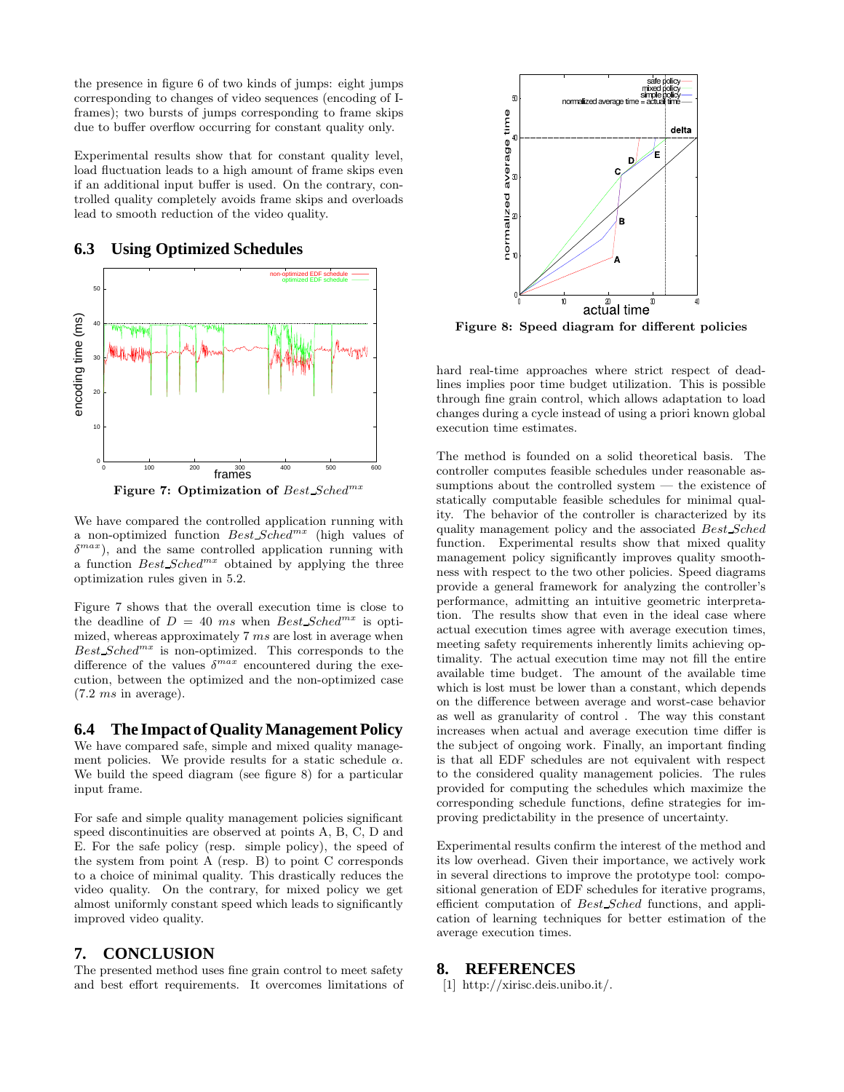the presence in figure 6 of two kinds of jumps: eight jumps corresponding to changes of video sequences (encoding of Iframes); two bursts of jumps corresponding to frame skips due to buffer overflow occurring for constant quality only.

Experimental results show that for constant quality level, load fluctuation leads to a high amount of frame skips even if an additional input buffer is used. On the contrary, controlled quality completely avoids frame skips and overloads lead to smooth reduction of the video quality.

**6.3 Using Optimized Schedules**



Figure 7: Optimization of Best Sched<sup>mx</sup>

We have compared the controlled application running with a non-optimized function  $Best\_Sched^{mx}$  (high values of  $\delta^{max}$ ), and the same controlled application running with a function  $Best\_Sched^{mx}$  obtained by applying the three optimization rules given in 5.2.

Figure 7 shows that the overall execution time is close to the deadline of  $D = 40$  ms when Best Sched<sup>mx</sup> is optimized, whereas approximately 7 ms are lost in average when  $Best\_Sched^{mx}$  is non-optimized. This corresponds to the difference of the values  $\delta^{max}$  encountered during the execution, between the optimized and the non-optimized case  $(7.2 \text{ ms in average}).$ 

# **6.4 The Impact ofQualityManagementPolicy**

We have compared safe, simple and mixed quality management policies. We provide results for a static schedule  $\alpha$ . We build the speed diagram (see figure 8) for a particular input frame.

For safe and simple quality management policies significant speed discontinuities are observed at points A, B, C, D and E. For the safe policy (resp. simple policy), the speed of the system from point A (resp. B) to point C corresponds to a choice of minimal quality. This drastically reduces the video quality. On the contrary, for mixed policy we get almost uniformly constant speed which leads to significantly improved video quality.

# **7. CONCLUSION**

The presented method uses fine grain control to meet safety and best effort requirements. It overcomes limitations of



Figure 8: Speed diagram for different policies

hard real-time approaches where strict respect of deadlines implies poor time budget utilization. This is possible through fine grain control, which allows adaptation to load changes during a cycle instead of using a priori known global execution time estimates.

The method is founded on a solid theoretical basis. The controller computes feasible schedules under reasonable assumptions about the controlled system — the existence of statically computable feasible schedules for minimal quality. The behavior of the controller is characterized by its quality management policy and the associated Best Sched function. Experimental results show that mixed quality management policy significantly improves quality smoothness with respect to the two other policies. Speed diagrams provide a general framework for analyzing the controller's performance, admitting an intuitive geometric interpretation. The results show that even in the ideal case where actual execution times agree with average execution times, meeting safety requirements inherently limits achieving optimality. The actual execution time may not fill the entire available time budget. The amount of the available time which is lost must be lower than a constant, which depends on the difference between average and worst-case behavior as well as granularity of control . The way this constant increases when actual and average execution time differ is the subject of ongoing work. Finally, an important finding is that all EDF schedules are not equivalent with respect to the considered quality management policies. The rules provided for computing the schedules which maximize the corresponding schedule functions, define strategies for improving predictability in the presence of uncertainty.

Experimental results confirm the interest of the method and its low overhead. Given their importance, we actively work in several directions to improve the prototype tool: compositional generation of EDF schedules for iterative programs, efficient computation of Best Sched functions, and application of learning techniques for better estimation of the average execution times.

#### **8. REFERENCES**

[1] http://xirisc.deis.unibo.it/.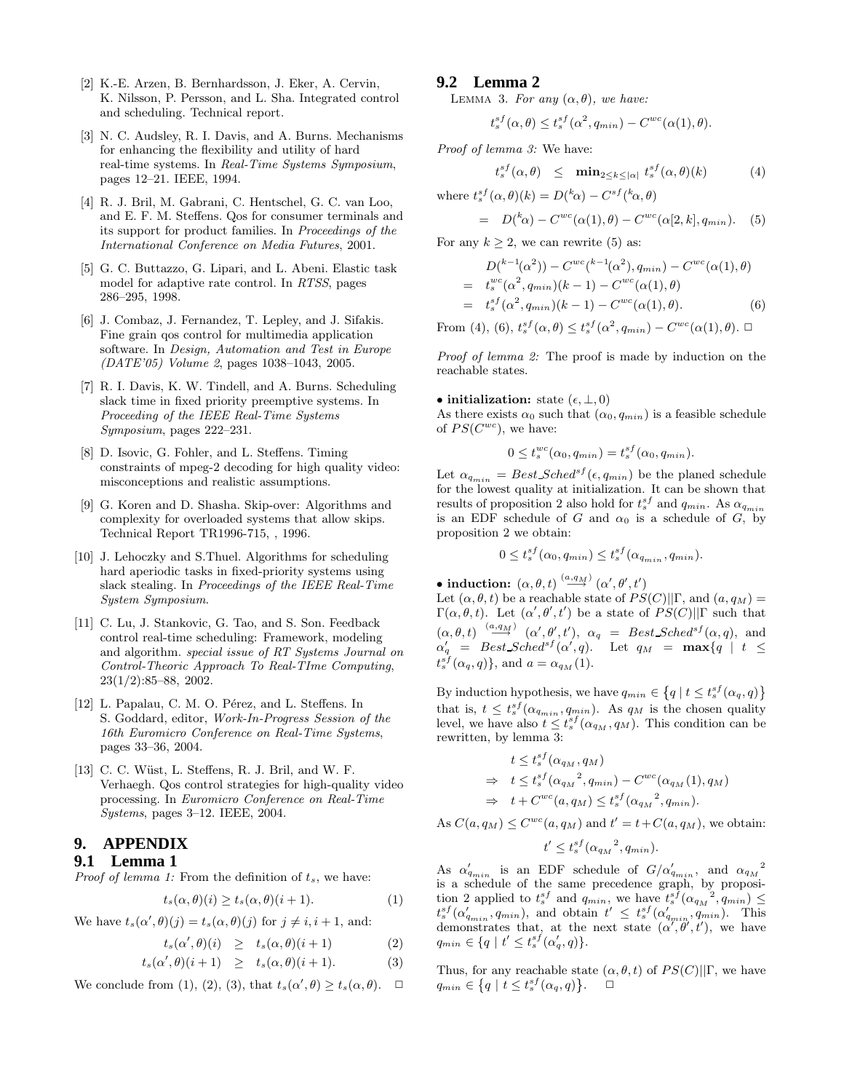- [2] K.-E. Arzen, B. Bernhardsson, J. Eker, A. Cervin, K. Nilsson, P. Persson, and L. Sha. Integrated control and scheduling. Technical report.
- [3] N. C. Audsley, R. I. Davis, and A. Burns. Mechanisms for enhancing the flexibility and utility of hard real-time systems. In Real-Time Systems Symposium, pages 12–21. IEEE, 1994.
- [4] R. J. Bril, M. Gabrani, C. Hentschel, G. C. van Loo, and E. F. M. Steffens. Qos for consumer terminals and its support for product families. In Proceedings of the International Conference on Media Futures, 2001.
- [5] G. C. Buttazzo, G. Lipari, and L. Abeni. Elastic task model for adaptive rate control. In RTSS, pages 286–295, 1998.
- [6] J. Combaz, J. Fernandez, T. Lepley, and J. Sifakis. Fine grain qos control for multimedia application software. In Design, Automation and Test in Europe (DATE'05) Volume 2, pages 1038–1043, 2005.
- [7] R. I. Davis, K. W. Tindell, and A. Burns. Scheduling slack time in fixed priority preemptive systems. In Proceeding of the IEEE Real-Time Systems Symposium, pages 222–231.
- [8] D. Isovic, G. Fohler, and L. Steffens. Timing constraints of mpeg-2 decoding for high quality video: misconceptions and realistic assumptions.
- [9] G. Koren and D. Shasha. Skip-over: Algorithms and complexity for overloaded systems that allow skips. Technical Report TR1996-715, , 1996.
- [10] J. Lehoczky and S.Thuel. Algorithms for scheduling hard aperiodic tasks in fixed-priority systems using slack stealing. In Proceedings of the IEEE Real-Time System Symposium.
- [11] C. Lu, J. Stankovic, G. Tao, and S. Son. Feedback control real-time scheduling: Framework, modeling and algorithm. special issue of RT Systems Journal on Control-Theoric Approach To Real-TIme Computing, 23(1/2):85–88, 2002.
- [12] L. Papalau, C. M. O. Pérez, and L. Steffens. In S. Goddard, editor, Work-In-Progress Session of the 16th Euromicro Conference on Real-Time Systems, pages 33–36, 2004.
- [13] C. C. Wüst, L. Steffens, R. J. Bril, and W. F. Verhaegh. Qos control strategies for high-quality video processing. In Euromicro Conference on Real-Time Systems, pages 3–12. IEEE, 2004.

## **9. APPENDIX**

#### **9.1 Lemma 1**

*Proof of lemma 1:* From the definition of  $t_s$ , we have:

$$
t_s(\alpha, \theta)(i) \ge t_s(\alpha, \theta)(i+1). \tag{1}
$$

We have  $t_s(\alpha', \theta)(j) = t_s(\alpha, \theta)(j)$  for  $j \neq i, i + 1$ , and:

$$
t_s(\alpha', \theta)(i) \geq t_s(\alpha, \theta)(i+1) \tag{2}
$$

$$
t_s(\alpha',\theta)(i+1) \geq t_s(\alpha,\theta)(i+1). \tag{3}
$$

We conclude from (1), (2), (3), that  $t_s(\alpha', \theta) \ge t_s(\alpha, \theta)$ .  $\Box$ 

# **9.2 Lemma 2**

LEMMA 3. For any  $(\alpha, \theta)$ , we have:

$$
t_s^{sf}(\alpha, \theta) \le t_s^{sf}(\alpha^2, q_{min}) - C^{wc}(\alpha(1), \theta).
$$

Proof of lemma 3: We have:

$$
t_s^{sf}(\alpha, \theta) \leq \min_{2 \leq k \leq |\alpha|} t_s^{sf}(\alpha, \theta)(k) \tag{4}
$$

where  $t_s^{sf}(\alpha, \theta)(k) = D({}^k\alpha) - C^{sf}({}^k\alpha, \theta)$ 

= 
$$
D({}^k\alpha) - C^{wc}(\alpha(1), \theta) - C^{wc}(\alpha[2, k], q_{min}).
$$
 (5)

For any  $k \geq 2$ , we can rewrite (5) as:

$$
D({}^{k-1}(\alpha^2)) - C^{wc}({}^{k-1}(\alpha^2), q_{min}) - C^{wc}(\alpha(1), \theta)
$$
  
=  $t_s^{wc}(\alpha^2, q_{min})(k-1) - C^{wc}(\alpha(1), \theta)$   
=  $t_s^{sf}(\alpha^2, q_{min})(k-1) - C^{wc}(\alpha(1), \theta).$  (6)

From (4), (6),  $t_s^{sf}(\alpha, \theta) \le t_s^{sf}(\alpha^2, q_{min}) - C^{wc}(\alpha(1), \theta)$ .  $\Box$ 

Proof of lemma 2: The proof is made by induction on the reachable states.

#### • initialization: state  $(\epsilon, \perp, 0)$

As there exists  $\alpha_0$  such that  $(\alpha_0, q_{min})$  is a feasible schedule of  $PS(C^{wc})$ , we have:

$$
0 \leq t_s^{wc}(\alpha_0, q_{min}) = t_s^{sf}(\alpha_0, q_{min}).
$$

Let  $\alpha_{q_{min}} = Best\_Sched^{sf}(\epsilon, q_{min})$  be the planed schedule for the lowest quality at initialization. It can be shown that results of proposition 2 also hold for  $t_s^{sf}$  and  $q_{min}$ . As  $\alpha_{q_{min}}$ is an EDF schedule of G and  $\alpha_0$  is a schedule of G, by proposition 2 we obtain:

$$
0 \leq t_s^{sf}(\alpha_0, q_{min}) \leq t_s^{sf}(\alpha_{q_{min}}, q_{min}).
$$

• induction:  $(\alpha, \theta, t) \stackrel{(a,q_M)}{\longrightarrow} (\alpha', \theta', t')$ Let  $(\alpha, \theta, t)$  be a reachable state of  $PS(C)||\Gamma$ , and  $(a, q_M)$  =  $\Gamma(\alpha, \theta, t)$ . Let  $(\alpha', \theta', t')$  be a state of  $PS(C)||\Gamma$  such that  $(\alpha, \theta, t) \stackrel{(a,q_M)}{\longrightarrow} (\alpha', \theta', t'), \alpha_q = Best\_Sched^{sf}(\alpha, q),$  and  $\alpha'_q = Best\_Sched^{sf}(\alpha', q). \quad \text{Let} \;\; q_M \;\; = \;\; \max\{q \;\; | \;\; t \;\; \leq \;\; \}$  $t_s^{sf}(\alpha_q, q)$ , and  $a = \alpha_{q_M}(1)$ .

By induction hypothesis, we have  $q_{min} \in \{q \mid t \leq t_s^{sf}(\alpha_q, q)\}\$ that is,  $t \leq t_s^{sf}(\alpha_{q_{min}}, q_{min})$ . As  $q_M$  is the chosen quality level, we have also  $t \leq t_s^{sf}(\alpha_{q_M}, q_M)$ . This condition can be rewritten, by lemma 3:

$$
t \le t_s^{sf}(\alpha_{q_M}, q_M)
$$
  
\n
$$
\Rightarrow t \le t_s^{sf}(\alpha_{q_M}^2, q_{min}) - C^{wc}(\alpha_{q_M}(1), q_M)
$$
  
\n
$$
\Rightarrow t + C^{wc}(a, q_M) \le t_s^{sf}(\alpha_{q_M}^2, q_{min}).
$$

As  $C(a,q_M) \leq C^{wc}(a,q_M)$  and  $t' = t + C(a,q_M)$ , we obtain:  $t' \leq t_s^{sf}(\alpha_{q_M}^2, q_{min}).$ 

As  $\alpha'_{q_{min}}$  is an EDF schedule of  $G/\alpha'_{q_{min}}$ , and  $\alpha_{q_M}^2$ is a schedule of the same precedence graph, by proposition 2 applied to  $t_s^{sf}$  and  $q_{min}$ , we have  $t_s^{sf}(\alpha_{q_M}^2, q_{min}) \leq$  $t_s^{sf}(\alpha'_{q_{min}}, q_{min}),$  and obtain  $t' \leq t_s^{sf}(\alpha'_{q_{min}}, q_{min}).$  This demonstrates that, at the next state  $(\alpha', \theta', t')$ , we have  $q_{min} \in \{q \mid t' \leq t_s^{sf}(\alpha'_q, q)\}.$ 

Thus, for any reachable state  $(\alpha, \theta, t)$  of  $PS(C)||\Gamma$ , we have  $q_{min} \in \left\{ q \mid t \leq t_s^{sf}(\alpha_q,q) \right\}.$